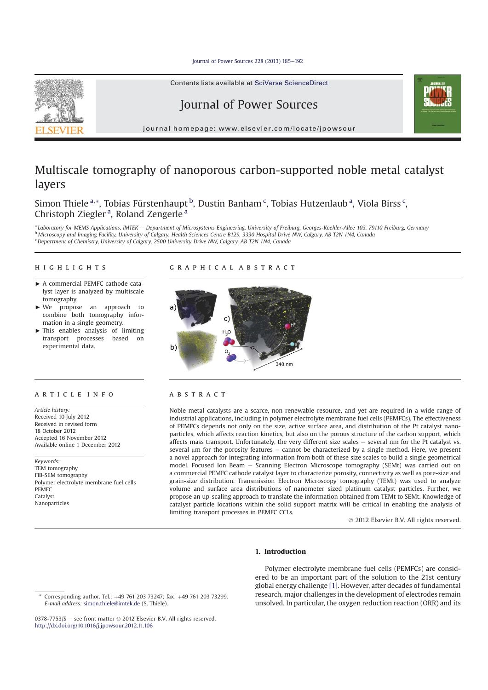Journal of Power Sources 228 (2013) 185-192



# Journal of Power Sources



journal homepage: www.elsevier.com/locate/jpowsour

# Multiscale tomography of nanoporous carbon-supported noble metal catalyst layers

Simon Thiele <sup>a,</sup>\*, Tobias Fürstenhaupt <sup>b</sup>, Dustin Banham <sup>c</sup>, Tobias Hutzenlaub <sup>a</sup>, Viola Birss <sup>c</sup>, Christoph Ziegler<sup>a</sup>, Roland Zengerle<sup>a</sup>

<sup>a</sup> Laboratory for MEMS Applications, IMTEK - Department of Microsystems Engineering, University of Freiburg, Georges-Koehler-Allee 103, 79110 Freiburg, Germany <sup>b</sup> Microscopy and Imaging Facility, University of Calgary, Health Sciences Centre B129, 3330 Hospital Drive NW, Calgary, AB T2N 1N4, Canada <sup>c</sup> Department of Chemistry, University of Calgary, 2500 University Drive NW, Calgary, AB T2N 1N4, Canada

# **HIGHLIGHTS**

- A commercial PEMFC cathode catalyst layer is analyzed by multiscale tomography.
- < We propose an approach to combine both tomography information in a single geometry.
- This enables analysis of limiting transport processes based on experimental data.

#### **ARTICLE INFO**

Article history: Received 10 July 2012 Received in revised form 18 October 2012 Accepted 16 November 2012 Available online 1 December 2012

Keywords: TEM tomography FIB-SEM tomography Polymer electrolyte membrane fuel cells PEMFC Catalyst Nanoparticles

#### CRAPHICAL ARSTRACT highlights graphical abstracts graphical abstracts graphical abstracts abstracts abstracts abstracts abstracts



# ABSTRACT

Noble metal catalysts are a scarce, non-renewable resource, and yet are required in a wide range of industrial applications, including in polymer electrolyte membrane fuel cells (PEMFCs). The effectiveness of PEMFCs depends not only on the size, active surface area, and distribution of the Pt catalyst nanoparticles, which affects reaction kinetics, but also on the porous structure of the carbon support, which affects mass transport. Unfortunately, the very different size scales  $-$  several nm for the Pt catalyst vs. several  $\mu$ m for the porosity features  $-$  cannot be characterized by a single method. Here, we present a novel approach for integrating information from both of these size scales to build a single geometrical model. Focused Ion Beam - Scanning Electron Microscope tomography (SEMt) was carried out on a commercial PEMFC cathode catalyst layer to characterize porosity, connectivity as well as pore-size and grain-size distribution. Transmission Electron Microscopy tomography (TEMt) was used to analyze volume and surface area distributions of nanometer sized platinum catalyst particles. Further, we propose an up-scaling approach to translate the information obtained from TEMt to SEMt. Knowledge of catalyst particle locations within the solid support matrix will be critical in enabling the analysis of limiting transport processes in PEMFC CCLs.

- 2012 Elsevier B.V. All rights reserved.

# 1. Introduction

0378-7753/\$ — see front matter © 2012 Elsevier B.V. All rights reserved. http://dx.doi.org/10.1016/j.jpowsour.2012.11.106

Polymer electrolyte membrane fuel cells (PEMFCs) are considered to be an important part of the solution to the 21st century global energy challenge [1]. However, after decades of fundamental research, major challenges in the development of electrodes remain unsolved. In particular, the oxygen reduction reaction (ORR) and its

 $\overline{\text{Corresponding author}}$ . Tel.:  $+49$  761 203 73247; fax:  $+49$  761 203 73299. E-mail address: simon.thiele@imtek.de (S. Thiele).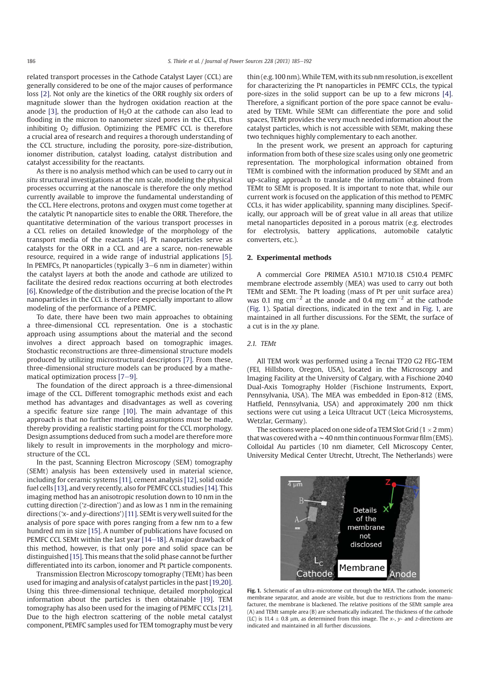related transport processes in the Cathode Catalyst Layer (CCL) are generally considered to be one of the major causes of performance loss [2]. Not only are the kinetics of the ORR roughly six orders of magnitude slower than the hydrogen oxidation reaction at the anode [3], the production of  $H<sub>2</sub>O$  at the cathode can also lead to flooding in the micron to nanometer sized pores in the CCL, thus inhibiting  $O<sub>2</sub>$  diffusion. Optimizing the PEMFC CCL is therefore a crucial area of research and requires a thorough understanding of the CCL structure, including the porosity, pore-size-distribution, ionomer distribution, catalyst loading, catalyst distribution and catalyst accessibility for the reactants.

As there is no analysis method which can be used to carry out in situ structural investigations at the nm scale, modeling the physical processes occurring at the nanoscale is therefore the only method currently available to improve the fundamental understanding of the CCL. Here electrons, protons and oxygen must come together at the catalytic Pt nanoparticle sites to enable the ORR. Therefore, the quantitative determination of the various transport processes in a CCL relies on detailed knowledge of the morphology of the transport media of the reactants [4]. Pt nanoparticles serve as catalysts for the ORR in a CCL and are a scarce, non-renewable resource, required in a wide range of industrial applications [5]. In PEMFCs, Pt nanoparticles (typically 3–6 nm in diameter) within the catalyst layers at both the anode and cathode are utilized to facilitate the desired redox reactions occurring at both electrodes [6]. Knowledge of the distribution and the precise location of the Pt nanoparticles in the CCL is therefore especially important to allow modeling of the performance of a PEMFC.

To date, there have been two main approaches to obtaining a three-dimensional CCL representation. One is a stochastic approach using assumptions about the material and the second involves a direct approach based on tomographic images. Stochastic reconstructions are three-dimensional structure models produced by utilizing microstructural descriptors [7]. From these, three-dimensional structure models can be produced by a mathematical optimization process  $[7-9]$ .

The foundation of the direct approach is a three-dimensional image of the CCL. Different tomographic methods exist and each method has advantages and disadvantages as well as covering a specific feature size range [10]. The main advantage of this approach is that no further modeling assumptions must be made, thereby providing a realistic starting point for the CCL morphology. Design assumptions deduced from such a model are therefore more likely to result in improvements in the morphology and microstructure of the CCL.

In the past, Scanning Electron Microscopy (SEM) tomography (SEMt) analysis has been extensively used in material science, including for ceramic systems [11], cement analysis [12], solid oxide fuel cells [13], and very recently, also for PEMFC CCL studies [14]. This imaging method has an anisotropic resolution down to 10 nm in the cutting direction ('z-direction') and as low as 1 nm in the remaining directions ('x- and y-directions')[11]. SEMt is very well suited for the analysis of pore space with pores ranging from a few nm to a few hundred nm in size [15]. A number of publications have focused on PEMFC CCL SEMt within the last year [14-18]. A major drawback of this method, however, is that only pore and solid space can be distinguished [15]. This means that the solid phase cannot be further differentiated into its carbon, ionomer and Pt particle components.

Transmission Electron Microscopy tomography (TEMt) has been used for imaging and analysis of catalyst particles in the past[19,20]. Using this three-dimensional technique, detailed morphological information about the particles is then obtainable [19]. TEM tomography has also been used for the imaging of PEMFC CCLs [21]. Due to the high electron scattering of the noble metal catalyst component, PEMFC samples used for TEM tomography must be very

thin (e.g.100 nm).While TEM, with its sub nm resolution, is excellent for characterizing the Pt nanoparticles in PEMFC CCLs, the typical pore-sizes in the solid support can be up to a few microns [4]. Therefore, a significant portion of the pore space cannot be evaluated by TEMt. While SEMt can differentiate the pore and solid spaces, TEMt provides the very much needed information about the catalyst particles, which is not accessible with SEMt, making these two techniques highly complementary to each another.

In the present work, we present an approach for capturing information from both of these size scales using only one geometric representation. The morphological information obtained from TEMt is combined with the information produced by SEMt and an up-scaling approach to translate the information obtained from TEMt to SEMt is proposed. It is important to note that, while our current work is focused on the application of this method to PEMFC CCLs, it has wider applicability, spanning many disciplines. Specifically, our approach will be of great value in all areas that utilize metal nanoparticles deposited in a porous matrix (e.g. electrodes for electrolysis, battery applications, automobile catalytic converters, etc.).

# 2. Experimental methods

A commercial Gore PRIMEA A510.1 M710.18 C510.4 PEMFC membrane electrode assembly (MEA) was used to carry out both TEMt and SEMt. The Pt loading (mass of Pt per unit surface area) was 0.1 mg  $\text{cm}^{-2}$  at the anode and 0.4 mg  $\text{cm}^{-2}$  at the cathode (Fig. 1). Spatial directions, indicated in the text and in Fig. 1, are maintained in all further discussions. For the SEMt, the surface of a cut is in the xy plane.

### 2.1. TEMt

All TEM work was performed using a Tecnai TF20 G2 FEG-TEM (FEI, Hillsboro, Oregon, USA), located in the Microscopy and Imaging Facility at the University of Calgary, with a Fischione 2040 Dual-Axis Tomography Holder (Fischione Instruments, Export, Pennsylvania, USA). The MEA was embedded in Epon-812 (EMS, Hatfield, Pennsylvania, USA) and approximately 200 nm thick sections were cut using a Leica Ultracut UCT (Leica Microsystems, Wetzlar, Germany).

The sections were placed on one side of a TEM Slot Grid ( $1 \times 2$  mm) that was covered with a  $\sim$  40 nm thin continuous Formvar film (EMS). Colloidal Au particles (10 nm diameter, Cell Microscopy Center, University Medical Center Utrecht, Utrecht, The Netherlands) were



Fig. 1. Schematic of an ultra-microtome cut through the MEA. The cathode, ionomeric membrane separator, and anode are visible, but due to restrictions from the manufacturer, the membrane is blackened. The relative positions of the SEMt sample area (A) and TEMt sample area (B) are schematically indicated. The thickness of the cathode (LC) is 11.4  $\pm$  0.8 µm, as determined from this image. The x-, y- and z-directions are indicated and maintained in all further discussions.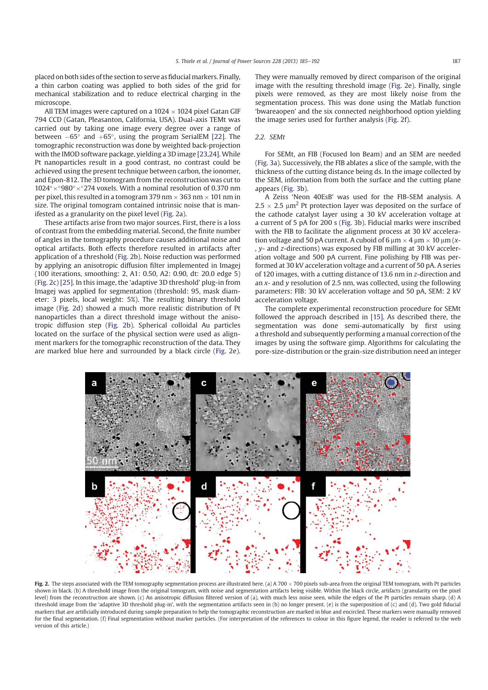placed on both sides of the section to serve as fiducial markers. Finally, a thin carbon coating was applied to both sides of the grid for mechanical stabilization and to reduce electrical charging in the microscope.

All TEM images were captured on a  $1024 \times 1024$  pixel Gatan GIF 794 CCD (Gatan, Pleasanton, California, USA). Dual-axis TEMt was carried out by taking one image every degree over a range of between  $-65^{\circ}$  and  $+65^{\circ}$ , using the program SerialEM [22]. The tomographic reconstruction was done by weighted back-projection with the IMOD software package, yielding a 3D image [23,24]. While Pt nanoparticles result in a good contrast, no contrast could be achieved using the present technique between carbon, the ionomer, and Epon-812. The 3D tomogram from the reconstruction was cut to  $1024^{\circ} \times ^{\circ} 980^{\circ} \times ^{\circ} 274$  voxels. With a nominal resolution of 0.370 nm per pixel, this resulted in a tomogram 379 nm  $\times$  363 nm  $\times$  101 nm in size. The original tomogram contained intrinsic noise that is manifested as a granularity on the pixel level (Fig. 2a).

These artifacts arise from two major sources. First, there is a loss of contrast from the embedding material. Second, the finite number of angles in the tomography procedure causes additional noise and optical artifacts. Both effects therefore resulted in artifacts after application of a threshold (Fig. 2b). Noise reduction was performed by applying an anisotropic diffusion filter implemented in Imagej (100 iterations, smoothing: 2, A1: 0.50, A2: 0.90, dt: 20.0 edge 5) (Fig. 2c) [25]. In this image, the 'adaptive 3D threshold' plug-in from Imagej was applied for segmentation (threshold: 95, mask diameter: 3 pixels, local weight: 5%). The resulting binary threshold image (Fig. 2d) showed a much more realistic distribution of Pt nanoparticles than a direct threshold image without the anisotropic diffusion step (Fig. 2b). Spherical colloidal Au particles located on the surface of the physical section were used as alignment markers for the tomographic reconstruction of the data. They are marked blue here and surrounded by a black circle (Fig. 2e). They were manually removed by direct comparison of the original image with the resulting threshold image (Fig. 2e). Finally, single pixels were removed, as they are most likely noise from the segmentation process. This was done using the Matlab function 'bwareaopen' and the six connected neighborhood option yielding the image series used for further analysis (Fig. 2f).

#### 2.2. SEMt

For SEMt, an FIB (Focused Ion Beam) and an SEM are needed (Fig. 3a). Successively, the FIB ablates a slice of the sample, with the thickness of the cutting distance being ds. In the image collected by the SEM, information from both the surface and the cutting plane appears (Fig. 3b).

A Zeiss 'Neon 40EsB' was used for the FIB-SEM analysis. A  $2.5 \times 2.5 \mu m^2$  Pt protection layer was deposited on the surface of the cathode catalyst layer using a 30 kV acceleration voltage at a current of 5 pA for 200 s (Fig. 3b). Fiducial marks were inscribed with the FIB to facilitate the alignment process at 30 kV acceleration voltage and 50 pA current. A cuboid of 6  $\mu$ m  $\times$  4  $\mu$ m  $\times$  10  $\mu$ m (x-, y- and z-directions) was exposed by FIB milling at 30 kV acceleration voltage and 500 pA current. Fine polishing by FIB was performed at 30 kV acceleration voltage and a current of 50 pA. A series of 120 images, with a cutting distance of 13.6 nm in z-direction and an  $x$ - and  $y$  resolution of 2.5 nm, was collected, using the following parameters: FIB: 30 kV acceleration voltage and 50 pA, SEM: 2 kV acceleration voltage.

The complete experimental reconstruction procedure for SEMt followed the approach described in [15]. As described there, the segmentation was done semi-automatically by first using a threshold and subsequently performing a manual correction of the images by using the software gimp. Algorithms for calculating the pore-size-distribution or the grain-size distribution need an integer



Fig. 2. The steps associated with the TEM tomography segmentation process are illustrated here. (a) A 700  $\times$  700 pixels sub-area from the original TEM tomogram, with Pt particles shown in black. (b) A threshold image from the original tomogram, with noise and segmentation artifacts being visible. Within the black circle, artifacts (granularity on the pixel level) from the reconstruction are shown. (c) An anisotropic diffusion filtered version of (a), with much less noise seen, while the edges of the Pt particles remain sharp. (d) A threshold image from the 'adaptive 3D threshold plug-in', with the segmentation artifacts seen in (b) no longer present. (e) is the superposition of (c) and (d). Two gold fiducial markers that are artificially introduced during sample preparation to help the tomographic reconstruction are marked in blue and encircled. These markers were manually removed for the final segmentation. (f) Final segmentation without marker particles. (For interpretation of the references to colour in this figure legend, the reader is referred to the web version of this article.)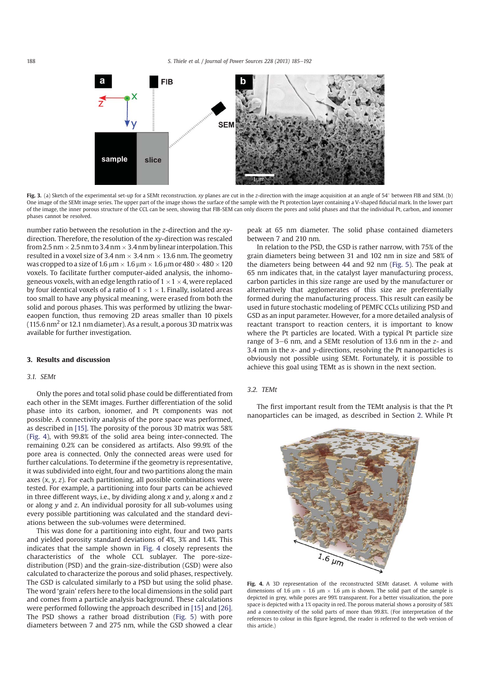

Fig. 3. (a) Sketch of the experimental set-up for a SEMt reconstruction. xy planes are cut in the z-direction with the image acquisition at an angle of 54° between FIB and SEM. (b) One image of the SEMt image series. The upper part of the image shows the surface of the sample with the Pt protection layer containing a V-shaped fiducial mark. In the lower part of the image, the inner porous structure of the CCL can be seen, showing that FIB-SEM can only discern the pores and solid phases and that the individual Pt, carbon, and ionomer phases cannot be resolved.

number ratio between the resolution in the z-direction and the xydirection. Therefore, the resolution of the xy-direction was rescaled from 2.5 nm  $\times$  2.5 nm to 3.4 nm  $\times$  3.4 nm by linear interpolation. This resulted in a voxel size of 3.4 nm  $\times$  3.4 nm  $\times$  13.6 nm. The geometry was cropped to a size of 1.6  $\mu$ m  $\times$  1.6  $\mu$ m  $\times$  1.6  $\mu$ m or 480  $\times$  480  $\times$  120 voxels. To facilitate further computer-aided analysis, the inhomogeneous voxels, with an edge length ratio of 1  $\times$  1  $\times$  4, were replaced by four identical voxels of a ratio of  $1 \times 1 \times 1$ . Finally, isolated areas too small to have any physical meaning, were erased from both the solid and porous phases. This was performed by utlizing the bwareaopen function, thus removing 2D areas smaller than 10 pixels  $(115.6 \text{ nm}^2 \text{ or } 12.1 \text{ nm}$  diameter). As a result, a porous 3D matrix was available for further investigation.

#### 3. Results and discussion

#### 3.1. SEMt

Only the pores and total solid phase could be differentiated from each other in the SEMt images. Further differentiation of the solid phase into its carbon, ionomer, and Pt components was not possible. A connectivity analysis of the pore space was performed, as described in [15]. The porosity of the porous 3D matrix was 58% (Fig. 4), with 99.8% of the solid area being inter-connected. The remaining 0.2% can be considered as artifacts. Also 99.9% of the pore area is connected. Only the connected areas were used for further calculations. To determine if the geometry is representative, it was subdivided into eight, four and two partitions along the main axes  $(x, y, z)$ . For each partitioning, all possible combinations were tested. For example, a partitioning into four parts can be achieved in three different ways, i.e., by dividing along  $x$  and  $y$ , along  $x$  and  $z$ or along y and z. An individual porosity for all sub-volumes using every possible partitioning was calculated and the standard deviations between the sub-volumes were determined.

This was done for a partitioning into eight, four and two parts and yielded porosity standard deviations of 4%, 3% and 1.4%. This indicates that the sample shown in Fig. 4 closely represents the characteristics of the whole CCL sublayer. The pore-sizedistribution (PSD) and the grain-size-distribution (GSD) were also calculated to characterize the porous and solid phases, respectively. The GSD is calculated similarly to a PSD but using the solid phase. The word 'grain' refers here to the local dimensions in the solid part and comes from a particle analysis background. These calculations were performed following the approach described in [15] and [26]. The PSD shows a rather broad distribution (Fig. 5) with pore diameters between 7 and 275 nm, while the GSD showed a clear peak at 65 nm diameter. The solid phase contained diameters between 7 and 210 nm.

In relation to the PSD, the GSD is rather narrow, with 75% of the grain diameters being between 31 and 102 nm in size and 58% of the diameters being between 44 and 92 nm (Fig. 5). The peak at 65 nm indicates that, in the catalyst layer manufacturing process, carbon particles in this size range are used by the manufacturer or alternatively that agglomerates of this size are preferentially formed during the manufacturing process. This result can easily be used in future stochastic modeling of PEMFC CCLs utilizing PSD and GSD as an input parameter. However, for a more detailed analysis of reactant transport to reaction centers, it is important to know where the Pt particles are located. With a typical Pt particle size range of 3–6 nm, and a SEMt resolution of 13.6 nm in the  $z$ - and 3.4 nm in the  $x$ - and  $y$ -directions, resolving the Pt nanoparticles is obviously not possible using SEMt. Fortunately, it is possible to achieve this goal using TEMt as is shown in the next section.

# 3.2. TEMt

The first important result from the TEMt analysis is that the Pt nanoparticles can be imaged, as described in Section 2. While Pt



Fig. 4. A 3D representation of the reconstructed SEMt dataset. A volume with dimensions of 1.6  $\mu$ m  $\times$  1.6  $\mu$ m  $\times$  1.6  $\mu$ m is shown. The solid part of the sample is depicted in grey, while pores are 99% transparent. For a better visualization, the pore space is depicted with a 1% opacity in red. The porous material shows a porosity of 58% and a connectivity of the solid parts of more than 99.8%. (For interpretation of the references to colour in this figure legend, the reader is referred to the web version of this article.)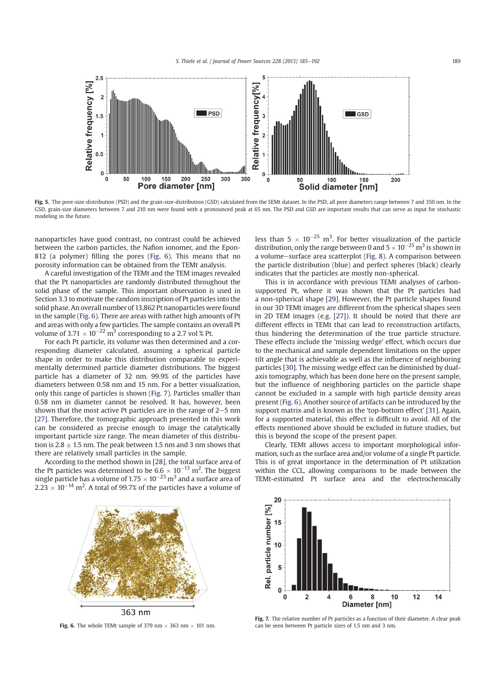

Fig. 5. The pore-size-distribution (PSD) and the grain-size-distribution (GSD) calculated from the SEMt dataset. In the PSD, all pore diameters range between 7 and 350 nm. In the GSD, grain-size diameters between 7 and 210 nm were found with a pronounced peak at 65 nm. The PSD and GSD are important results that can serve as input for stochastic modeling in the future.

nanoparticles have good contrast, no contrast could be achieved between the carbon particles, the Nafion ionomer, and the Epon-812 (a polymer) filling the pores (Fig. 6). This means that no porosity information can be obtained from the TEMt analysis.

A careful investigation of the TEMt and the TEM images revealed that the Pt nanoparticles are randomly distributed throughout the solid phase of the sample. This important observation is used in Section 3.3 to motivate the random inscription of Pt particles into the solid phase. An overall number of 13,862 Pt nanoparticles were found in the sample (Fig. 6). There are areas with rather high amounts of Pt and areas with only a few particles. The sample contains an overall Pt volume of 3.71  $\times$  10<sup>-22</sup> m<sup>3</sup> corresponding to a 2.7 vol % Pt.

For each Pt particle, its volume was then determined and a corresponding diameter calculated, assuming a spherical particle shape in order to make this distribution comparable to experimentally determined particle diameter distributions. The biggest particle has a diameter of 32 nm. 99.9% of the particles have diameters between 0.58 nm and 15 nm. For a better visualization, only this range of particles is shown (Fig. 7). Particles smaller than 0.58 nm in diameter cannot be resolved. It has, however, been shown that the most active Pt particles are in the range of  $2-5$  nm [27]. Therefore, the tomographic approach presented in this work can be considered as precise enough to image the catalytically important particle size range. The mean diameter of this distribution is  $2.8 \pm 1.5$  nm. The peak between 1.5 nm and 3 nm shows that there are relatively small particles in the sample.

According to the method shown in [28], the total surface area of the Pt particles was determined to be  $6.6 \times 10^{-13}$  m<sup>2</sup>. The biggest single particle has a volume of  $1.75 \times 10^{-23}$  m<sup>3</sup> and a surface area of  $2.23 \times 10^{-14}$  m<sup>2</sup>. A total of 99.7% of the particles have a volume of

less than  $5 \times 10^{-25}$  m<sup>3</sup>. For better visualization of the particle distribution, only the range between 0 and  $5 \times 10^{-25}$  m<sup>3</sup> is shown in a volume-surface area scatterplot (Fig. 8). A comparison between the particle distribution (blue) and perfect spheres (black) clearly indicates that the particles are mostly non-spherical.

This is in accordance with previous TEMt analyses of carbonsupported Pt, where it was shown that the Pt particles had a non-spherical shape [29]. However, the Pt particle shapes found in our 3D TEMt images are different from the spherical shapes seen in 2D TEM images (e.g. [27]). It should be noted that there are different effects in TEMt that can lead to reconstruction artifacts, thus hindering the determination of the true particle structure. These effects include the 'missing wedge' effect, which occurs due to the mechanical and sample dependent limitations on the upper tilt angle that is achievable as well as the influence of neighboring particles [30]. The missing wedge effect can be diminished by dualaxis tomography, which has been done here on the present sample, but the influence of neighboring particles on the particle shape cannot be excluded in a sample with high particle density areas present (Fig. 6). Another source of artifacts can be introduced by the support matrix and is known as the 'top-bottom effect' [31]. Again, for a supported material, this effect is difficult to avoid. All of the effects mentioned above should be excluded in future studies, but this is beyond the scope of the present paper.

Clearly, TEMt allows access to important morphological information, such as the surface area and/or volume of a single Pt particle. This is of great importance in the determination of Pt utilization within the CCL, allowing comparisons to be made between the TEMt-estimated Pt surface area and the electrochemically



Fig. 6. The whole TEMt sample of 379 nm  $\times$  363 nm  $\times$  101 nm.



Fig. 7. The relative number of Pt particles as a function of their diameter. A clear peak can be seen between Pt particle sizes of 1.5 nm and 3 nm.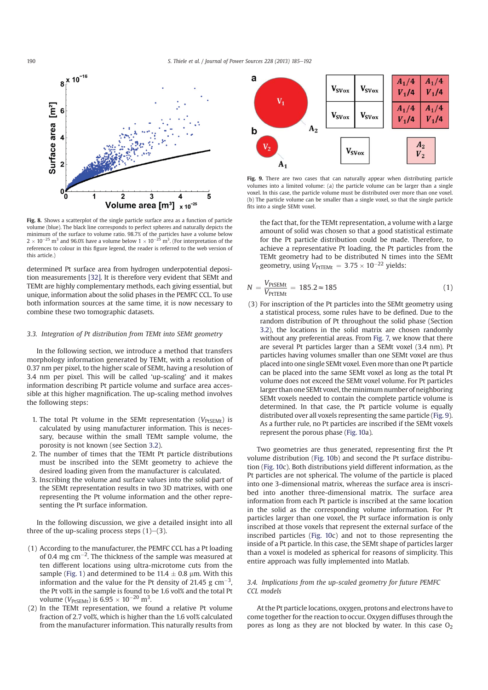

Fig. 8. Shows a scatterplot of the single particle surface area as a function of particle volume (blue). The black line corresponds to perfect spheres and naturally depicts the minimum of the surface to volume ratio. 98.7% of the particles have a volume below  $2 \times 10^{-25}$  m<sup>3</sup> and 96.0% have a volume below  $1 \times 10^{-25}$  m<sup>3</sup>. (For interpretation of the references to colour in this figure legend, the reader is referred to the web version of this article.)

determined Pt surface area from hydrogen underpotential deposition measurements [32]. It is therefore very evident that SEMt and TEMt are highly complementary methods, each giving essential, but unique, information about the solid phases in the PEMFC CCL. To use both information sources at the same time, it is now necessary to combine these two tomographic datasets.

#### 3.3. Integration of Pt distribution from TEMt into SEMt geometry

In the following section, we introduce a method that transfers morphology information generated by TEMt, with a resolution of 0.37 nm per pixel, to the higher scale of SEMt, having a resolution of 3.4 nm per pixel. This will be called 'up-scaling' and it makes information describing Pt particle volume and surface area accessible at this higher magnification. The up-scaling method involves the following steps:

- 1. The total Pt volume in the SEMt representation ( $V_{PtSEMt}$ ) is calculated by using manufacturer information. This is necessary, because within the small TEMt sample volume, the porosity is not known (see Section 3.2).
- 2. The number of times that the TEMt Pt particle distributions must be inscribed into the SEMt geometry to achieve the desired loading given from the manufacturer is calculated.
- 3. Inscribing the volume and surface values into the solid part of the SEMt representation results in two 3D matrixes, with one representing the Pt volume information and the other representing the Pt surface information.

In the following discussion, we give a detailed insight into all three of the up-scaling process steps  $(1)$ – $(3)$ .

- (1) According to the manufacturer, the PEMFC CCL has a Pt loading of 0.4 mg cm<sup>-2</sup>. The thickness of the sample was measured at ten different locations using ultra-microtome cuts from the sample (Fig. 1) and determined to be  $11.4 \pm 0.8$  µm. With this information and the value for the Pt density of 21.45 g  $\text{cm}^{-3}$ , the Pt vol% in the sample is found to be 1.6 vol% and the total Pt volume ( $V_{\text{PtSEMt}}$ ) is  $6.95 \times 10^{-20} \text{ m}^3$ .
- (2) In the TEMt representation, we found a relative Pt volume fraction of 2.7 vol%, which is higher than the 1.6 vol% calculated from the manufacturer information. This naturally results from



Fig. 9. There are two cases that can naturally appear when distributing particle volumes into a limited volume: (a) the particle volume can be larger than a single voxel. In this case, the particle volume must be distributed over more than one voxel. (b) The particle volume can be smaller than a single voxel, so that the single particle fits into a single SEMt voxel.

the fact that, for the TEMt representation, a volume with a large amount of solid was chosen so that a good statistical estimate for the Pt particle distribution could be made. Therefore, to achieve a representative Pt loading, the Pt particles from the TEMt geometry had to be distributed N times into the SEMt geometry, using  $V_{\text{PtTEMt}} = 3.75 \times 10^{-22}$  yields:

$$
N = \frac{V_{\text{PtSEMt}}}{V_{\text{PtTEMt}}} = 185.2 \approx 185 \tag{1}
$$

(3) For inscription of the Pt particles into the SEMt geometry using a statistical process, some rules have to be defined. Due to the random distribution of Pt throughout the solid phase (Section 3.2), the locations in the solid matrix are chosen randomly without any preferential areas. From Fig. 7, we know that there are several Pt particles larger than a SEMt voxel (3.4 nm). Pt particles having volumes smaller than one SEMt voxel are thus placed into one single SEMt voxel. Even more than one Pt particle can be placed into the same SEMt voxel as long as the total Pt volume does not exceed the SEMt voxel volume. For Pt particles larger than one SEMt voxel, the minimum number of neighboring SEMt voxels needed to contain the complete particle volume is determined. In that case, the Pt particle volume is equally distributed over all voxels representing the same particle (Fig. 9). As a further rule, no Pt particles are inscribed if the SEMt voxels represent the porous phase (Fig. 10a).

Two geometries are thus generated, representing first the Pt volume distribution (Fig. 10b) and second the Pt surface distribution (Fig. 10c). Both distributions yield different information, as the Pt particles are not spherical. The volume of the particle is placed into one 3-dimensional matrix, whereas the surface area is inscribed into another three-dimensional matrix. The surface area information from each Pt particle is inscribed at the same location in the solid as the corresponding volume information. For Pt particles larger than one voxel, the Pt surface information is only inscribed at those voxels that represent the external surface of the inscribed particles (Fig. 10c) and not to those representing the inside of a Pt particle. In this case, the SEMt shape of particles larger than a voxel is modeled as spherical for reasons of simplicity. This entire approach was fully implemented into Matlab.

# 3.4. Implications from the up-scaled geometry for future PEMFC CCL models

At the Pt particle locations, oxygen, protons and electrons have to come together for the reaction to occur. Oxygen diffuses through the pores as long as they are not blocked by water. In this case  $O<sub>2</sub>$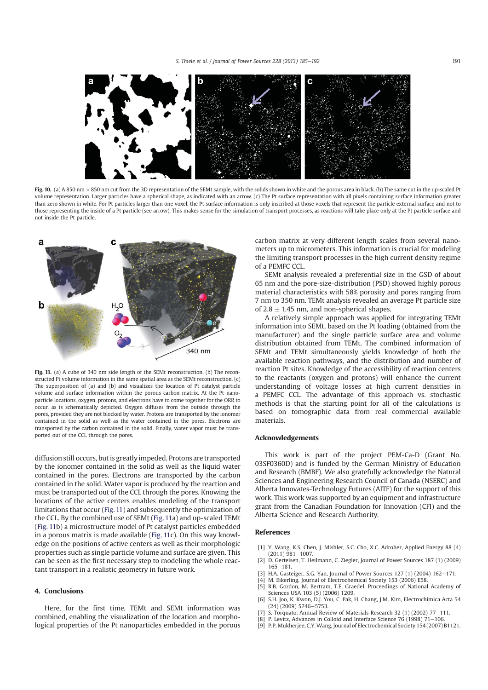

Fig. 10. (a) A 850 nm  $\times$  850 nm cut from the 3D representation of the SEMt sample, with the solids shown in white and the porous area in black. (b) The same cut in the up-scaled Pt volume representation. Larger particles have a spherical shape, as indicated with an arrow. (c) The Pt surface representation with all pixels containing surface information greater than zero shown in white. For Pt particles larger than one voxel, the Pt surface information is only inscribed at those voxels that represent the particle external surface and not to those representing the inside of a Pt particle (see arrow). This makes sense for the simulation of transport processes, as reactions will take place only at the Pt particle surface and not inside the Pt particle.



Fig. 11. (a) A cube of 340 nm side length of the SEMt reconstruction. (b) The reconstructed Pt volume information in the same spatial area as the SEMt reconstruction. (c) The superposition of (a) and (b) and visualizes the location of Pt catalyst particle volume and surface information within the porous carbon matrix. At the Pt nanoparticle locations, oxygen, protons, and electrons have to come together for the ORR to occur, as is schematically depicted. Oxygen diffuses from the outside through the pores, provided they are not blocked by water. Protons are transported by the ionomer contained in the solid as well as the water contained in the pores. Electrons are transported by the carbon contained in the solid. Finally, water vapor must be transported out of the CCL through the pores.

diffusion still occurs, but is greatly impeded. Protons are transported by the ionomer contained in the solid as well as the liquid water contained in the pores. Electrons are transported by the carbon contained in the solid. Water vapor is produced by the reaction and must be transported out of the CCL through the pores. Knowing the locations of the active centers enables modeling of the transport limitations that occur (Fig. 11) and subsequently the optimization of the CCL. By the combined use of SEMt (Fig. 11a) and up-scaled TEMt (Fig. 11b) a microstructure model of Pt catalyst particles embedded in a porous matrix is made available (Fig. 11c). On this way knowledge on the positions of active centers as well as their morphologic properties such as single particle volume and surface are given. This can be seen as the first necessary step to modeling the whole reactant transport in a realistic geometry in future work.

# 4. Conclusions

Here, for the first time, TEMt and SEMt information was combined, enabling the visualization of the location and morphological properties of the Pt nanoparticles embedded in the porous carbon matrix at very different length scales from several nanometers up to micrometers. This information is crucial for modeling the limiting transport processes in the high current density regime of a PEMFC CCL.

SEMt analysis revealed a preferential size in the GSD of about 65 nm and the pore-size-distribution (PSD) showed highly porous material characteristics with 58% porosity and pores ranging from 7 nm to 350 nm. TEMt analysis revealed an average Pt particle size of  $2.8 \pm 1.45$  nm, and non-spherical shapes.

A relatively simple approach was applied for integrating TEMt information into SEMt, based on the Pt loading (obtained from the manufacturer) and the single particle surface area and volume distribution obtained from TEMt. The combined information of SEMt and TEMt simultaneously yields knowledge of both the available reaction pathways, and the distribution and number of reaction Pt sites. Knowledge of the accessibility of reaction centers to the reactants (oxygen and protons) will enhance the current understanding of voltage losses at high current densities in a PEMFC CCL. The advantage of this approach vs. stochastic methods is that the starting point for all of the calculations is based on tomographic data from real commercial available materials.

#### Acknowledgements

This work is part of the project PEM-Ca-D (Grant No. 03SF0360D) and is funded by the German Ministry of Education and Research (BMBF). We also gratefully acknowledge the Natural Sciences and Engineering Research Council of Canada (NSERC) and Alberta Innovates-Technology Futures (AITF) for the support of this work. This work was supported by an equipment and infrastructure grant from the Canadian Foundation for Innovation (CFI) and the Alberta Science and Research Authority.

#### References

- [1] Y. Wang, K.S. Chen, J. Mishler, S.C. Cho, X.C. Adroher, Applied Energy 88 (4)  $(2011)$  981-1007.
- [2] D. Gerteisen, T. Heilmann, C. Ziegler, Journal of Power Sources 187 (1) (2009) 165e181.
- H.A. Gasteiger, S.G. Yan, Journal of Power Sources 127 (1) (2004) 162-171.
- [4] M. Eikerling, Journal of Electrochemical Society 153 (2006) E58. [5] R.B. Gordon, M. Bertram, T.E. Graedel, Proceedings of National Academy of
- Sciences USA 103 (5) (2006) 1209. [6] S.H. Joo, K. Kwon, D.J. You, C. Pak, H. Chang, J.M. Kim, Electrochimica Acta 54
- $(24)$  $(2009)$  5746-5753. [7] S. Torquato, Annual Review of Materials Research 32 (1) (2002) 77–111.
- $\overline{181}$  P. Levitz, Advances in Colloid and Interface Science 76 (1998) 71–106.
- [9] P.P. Mukherjee, C.Y.Wang, Journal of Electrochemical Society 154 (2007) B1121.